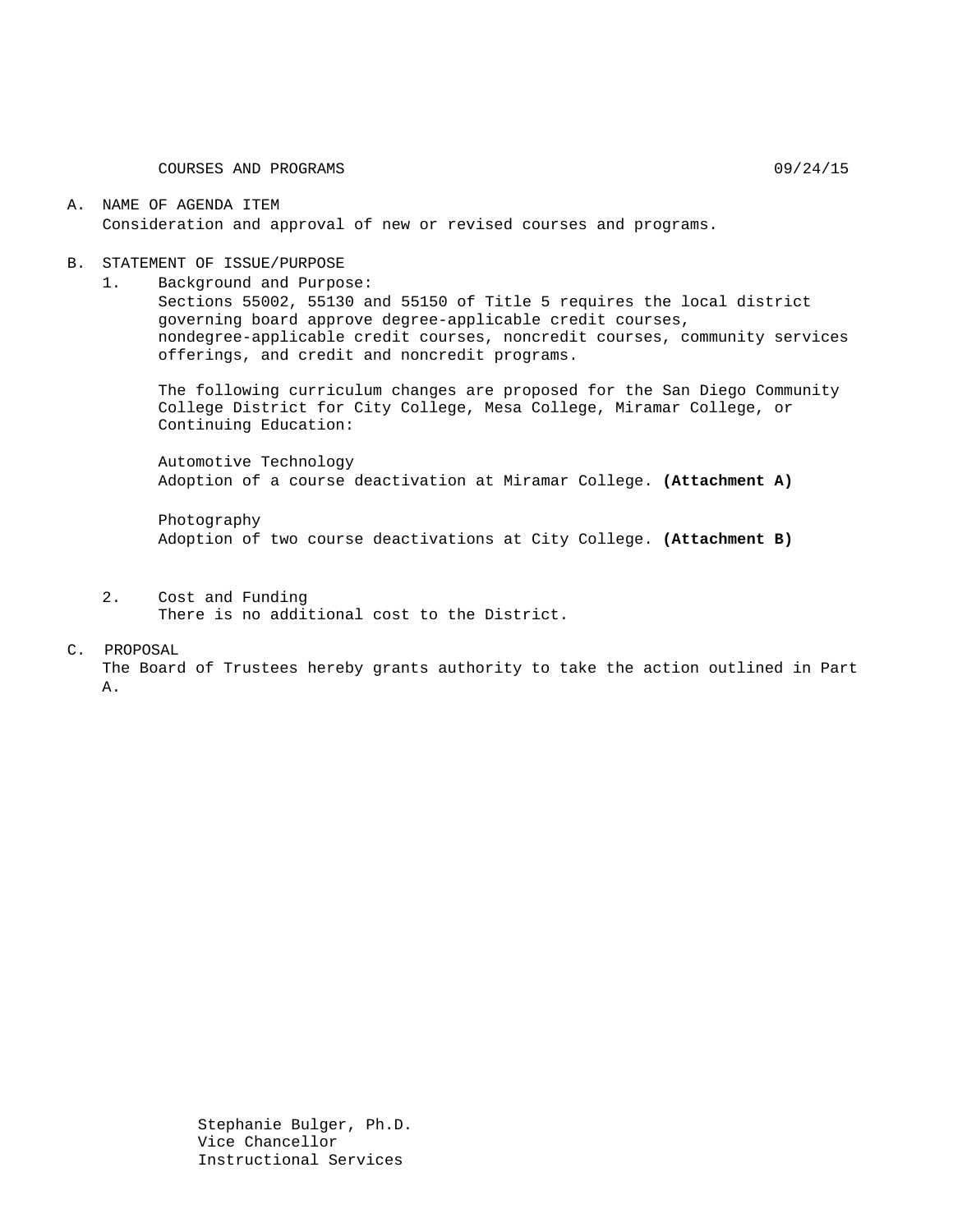COURSES AND PROGRAMS 09/24/15

#### A. NAME OF AGENDA ITEM Consideration and approval of new or revised courses and programs.

#### B. STATEMENT OF ISSUE/PURPOSE

1. Background and Purpose:

Sections 55002, 55130 and 55150 of Title 5 requires the local district governing board approve degree-applicable credit courses, nondegree-applicable credit courses, noncredit courses, community services offerings, and credit and noncredit programs.

The following curriculum changes are proposed for the San Diego Community College District for City College, Mesa College, Miramar College, or Continuing Education:

Automotive Technology Adoption of a course deactivation at Miramar College. **(Attachment A)**

Photography Adoption of two course deactivations at City College. **(Attachment B)**

2. Cost and Funding There is no additional cost to the District.

#### C. PROPOSAL

The Board of Trustees hereby grants authority to take the action outlined in Part A.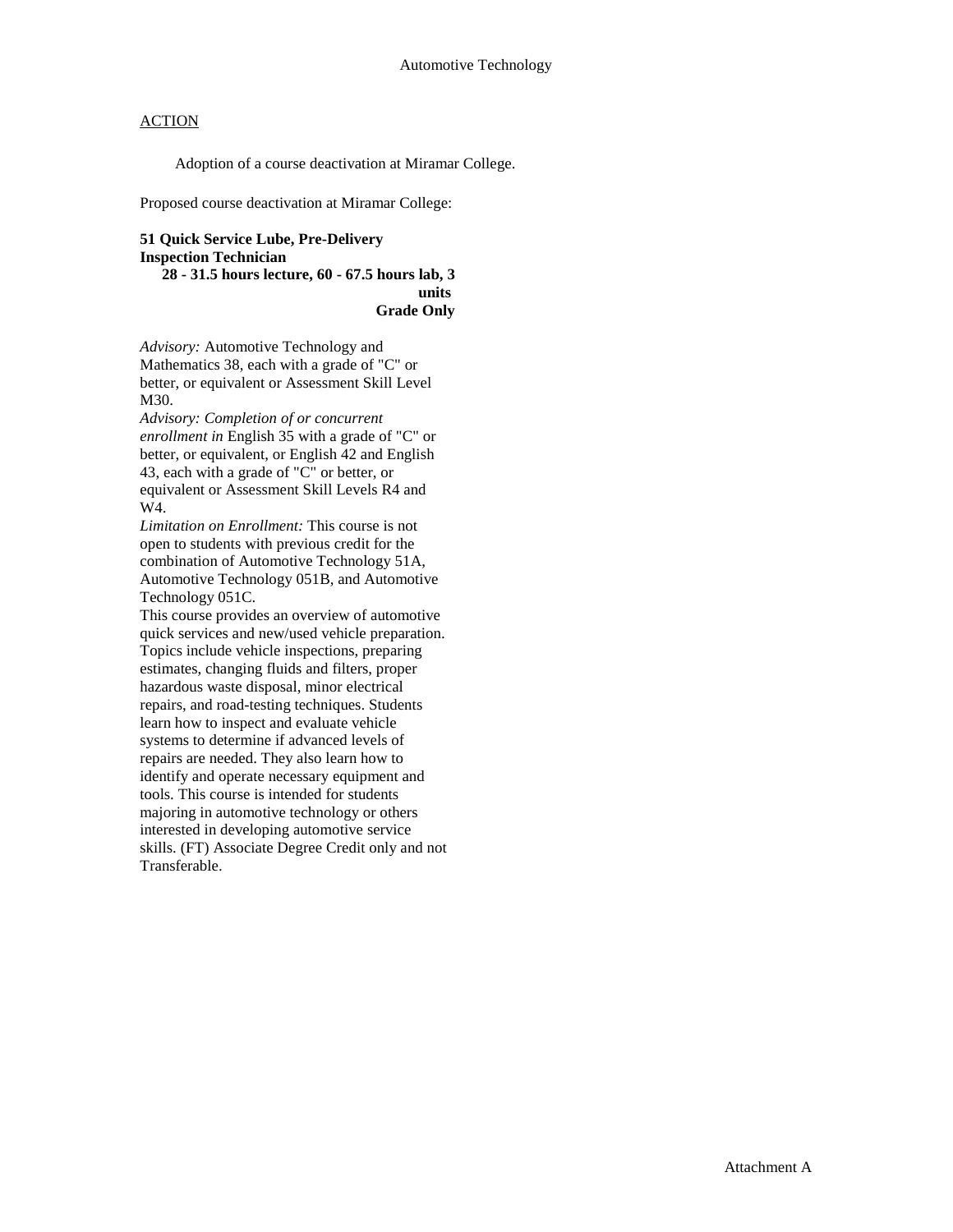# **ACTION**

Adoption of a course deactivation at Miramar College.

Proposed course deactivation at Miramar College:

## **51 Quick Service Lube, Pre-Delivery Inspection Technician**

**28 - 31.5 hours lecture, 60 - 67.5 hours lab, 3 units Grade Only**

*Advisory:* Automotive Technology and Mathematics 38, each with a grade of "C" or better, or equivalent or Assessment Skill Level M30.

*Advisory: Completion of or concurrent enrollment in* English 35 with a grade of "C" or better, or equivalent, or English 42 and English 43, each with a grade of "C" or better, or equivalent or Assessment Skill Levels R4 and W4.

*Limitation on Enrollment:* This course is not open to students with previous credit for the combination of Automotive Technology 51A, Automotive Technology 051B, and Automotive Technology 051C.

This course provides an overview of automotive quick services and new/used vehicle preparation. Topics include vehicle inspections, preparing estimates, changing fluids and filters, proper hazardous waste disposal, minor electrical repairs, and road-testing techniques. Students learn how to inspect and evaluate vehicle systems to determine if advanced levels of repairs are needed. They also learn how to identify and operate necessary equipment and tools. This course is intended for students majoring in automotive technology or others interested in developing automotive service skills. (FT) Associate Degree Credit only and not Transferable.